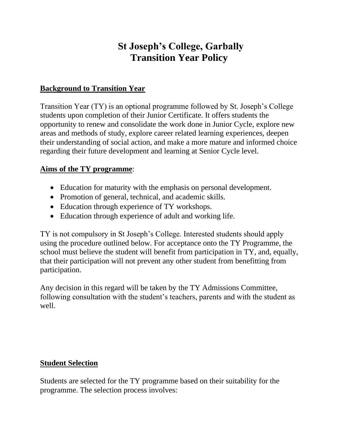# **St Joseph's College, Garbally Transition Year Policy**

# **Background to Transition Year**

Transition Year (TY) is an optional programme followed by St. Joseph's College students upon completion of their Junior Certificate. It offers students the opportunity to renew and consolidate the work done in Junior Cycle, explore new areas and methods of study, explore career related learning experiences, deepen their understanding of social action, and make a more mature and informed choice regarding their future development and learning at Senior Cycle level.

#### **Aims of the TY programme**:

- Education for maturity with the emphasis on personal development.
- Promotion of general, technical, and academic skills.
- Education through experience of TY workshops.
- Education through experience of adult and working life.

TY is not compulsory in St Joseph's College. Interested students should apply using the procedure outlined below. For acceptance onto the TY Programme, the school must believe the student will benefit from participation in TY, and, equally, that their participation will not prevent any other student from benefitting from participation.

Any decision in this regard will be taken by the TY Admissions Committee, following consultation with the student's teachers, parents and with the student as well.

# **Student Selection**

Students are selected for the TY programme based on their suitability for the programme. The selection process involves: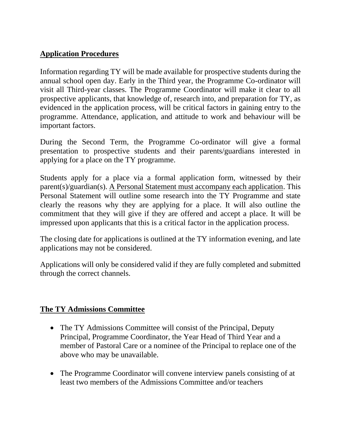# **Application Procedures**

Information regarding TY will be made available for prospective students during the annual school open day. Early in the Third year, the Programme Co-ordinator will visit all Third-year classes. The Programme Coordinator will make it clear to all prospective applicants, that knowledge of, research into, and preparation for TY, as evidenced in the application process, will be critical factors in gaining entry to the programme. Attendance, application, and attitude to work and behaviour will be important factors.

During the Second Term, the Programme Co-ordinator will give a formal presentation to prospective students and their parents/guardians interested in applying for a place on the TY programme.

Students apply for a place via a formal application form, witnessed by their parent(s)/guardian(s). A Personal Statement must accompany each application. This Personal Statement will outline some research into the TY Programme and state clearly the reasons why they are applying for a place. It will also outline the commitment that they will give if they are offered and accept a place. It will be impressed upon applicants that this is a critical factor in the application process.

The closing date for applications is outlined at the TY information evening, and late applications may not be considered.

Applications will only be considered valid if they are fully completed and submitted through the correct channels.

#### **The TY Admissions Committee**

- The TY Admissions Committee will consist of the Principal, Deputy Principal, Programme Coordinator, the Year Head of Third Year and a member of Pastoral Care or a nominee of the Principal to replace one of the above who may be unavailable.
- The Programme Coordinator will convene interview panels consisting of at least two members of the Admissions Committee and/or teachers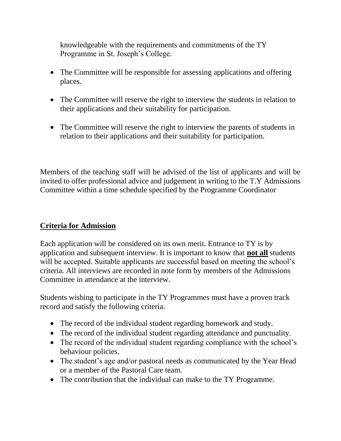knowledgeable with the requirements and commitments of the TY Programme in St. Joseph's College.

- The Committee will be responsible for assessing applications and offering places.
- The Committee will reserve the right to interview the students in relation to their applications and their suitability for participation.
- The Committee will reserve the right to interview the parents of students in relation to their applications and their suitability for participation.

Members of the teaching staff will be advised of the list of applicants and will be invited to offer professional advice and judgement in writing to the T.Y Admissions Committee within a time schedule specified by the Programme Coordinator

# **Criteria for Admission**

Each application will be considered on its own merit. Entrance to TY is by application and subsequent interview. It is important to know that **not all** students will be accepted. Suitable applicants are successful based on meeting the school's criteria. All interviews are recorded in note form by members of the Admissions Committee in attendance at the interview.

Students wishing to participate in the TY Programmes must have a proven track record and satisfy the following criteria.

- The record of the individual student regarding homework and study.
- The record of the individual student regarding attendance and punctuality.
- The record of the individual student regarding compliance with the school's behaviour policies.
- The student's age and/or pastoral needs as communicated by the Year Head or a member of the Pastoral Care team.
- The contribution that the individual can make to the TY Programme.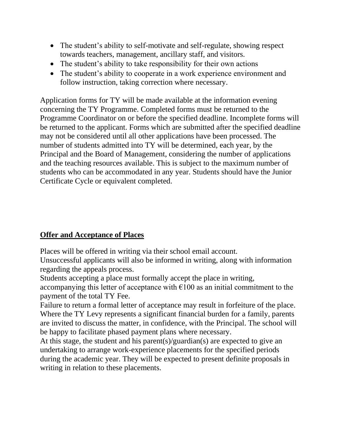- The student's ability to self-motivate and self-regulate, showing respect towards teachers, management, ancillary staff, and visitors.
- The student's ability to take responsibility for their own actions
- The student's ability to cooperate in a work experience environment and follow instruction, taking correction where necessary.

Application forms for TY will be made available at the information evening concerning the TY Programme. Completed forms must be returned to the Programme Coordinator on or before the specified deadline. Incomplete forms will be returned to the applicant. Forms which are submitted after the specified deadline may not be considered until all other applications have been processed. The number of students admitted into TY will be determined, each year, by the Principal and the Board of Management, considering the number of applications and the teaching resources available. This is subject to the maximum number of students who can be accommodated in any year. Students should have the Junior Certificate Cycle or equivalent completed.

# **Offer and Acceptance of Places**

Places will be offered in writing via their school email account.

Unsuccessful applicants will also be informed in writing, along with information regarding the appeals process.

Students accepting a place must formally accept the place in writing,

accompanying this letter of acceptance with  $\epsilon$ 100 as an initial commitment to the payment of the total TY Fee.

Failure to return a formal letter of acceptance may result in forfeiture of the place. Where the TY Levy represents a significant financial burden for a family, parents are invited to discuss the matter, in confidence, with the Principal. The school will be happy to facilitate phased payment plans where necessary.

At this stage, the student and his parent(s)/guardian(s) are expected to give an undertaking to arrange work-experience placements for the specified periods during the academic year. They will be expected to present definite proposals in writing in relation to these placements.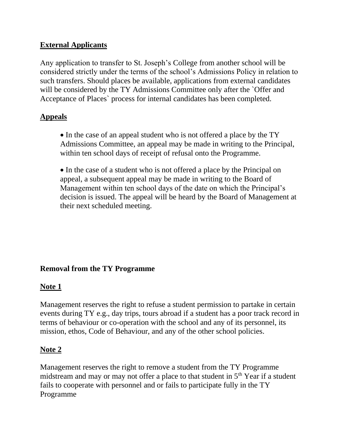# **External Applicants**

Any application to transfer to St. Joseph's College from another school will be considered strictly under the terms of the school's Admissions Policy in relation to such transfers. Should places be available, applications from external candidates will be considered by the TY Admissions Committee only after the *`Offer and* Acceptance of Places` process for internal candidates has been completed.

#### **Appeals**

• In the case of an appeal student who is not offered a place by the TY Admissions Committee, an appeal may be made in writing to the Principal, within ten school days of receipt of refusal onto the Programme.

• In the case of a student who is not offered a place by the Principal on appeal, a subsequent appeal may be made in writing to the Board of Management within ten school days of the date on which the Principal's decision is issued. The appeal will be heard by the Board of Management at their next scheduled meeting.

# **Removal from the TY Programme**

#### **Note 1**

Management reserves the right to refuse a student permission to partake in certain events during TY e.g., day trips, tours abroad if a student has a poor track record in terms of behaviour or co-operation with the school and any of its personnel, its mission, ethos, Code of Behaviour, and any of the other school policies.

# **Note 2**

Management reserves the right to remove a student from the TY Programme midstream and may or may not offer a place to that student in  $5<sup>th</sup>$  Year if a student fails to cooperate with personnel and or fails to participate fully in the TY Programme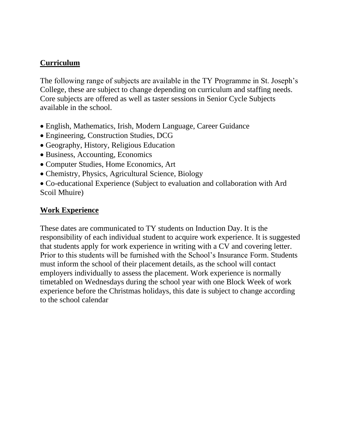# **Curriculum**

The following range of subjects are available in the TY Programme in St. Joseph's College, these are subject to change depending on curriculum and staffing needs. Core subjects are offered as well as taster sessions in Senior Cycle Subjects available in the school.

- English, Mathematics, Irish, Modern Language, Career Guidance
- Engineering, Construction Studies, DCG
- Geography, History, Religious Education
- Business, Accounting, Economics
- Computer Studies, Home Economics, Art
- Chemistry, Physics, Agricultural Science, Biology
- Co-educational Experience (Subject to evaluation and collaboration with Ard Scoil Mhuire)

# **Work Experience**

These dates are communicated to TY students on Induction Day. It is the responsibility of each individual student to acquire work experience. It is suggested that students apply for work experience in writing with a CV and covering letter. Prior to this students will be furnished with the School's Insurance Form. Students must inform the school of their placement details, as the school will contact employers individually to assess the placement. Work experience is normally timetabled on Wednesdays during the school year with one Block Week of work experience before the Christmas holidays, this date is subject to change according to the school calendar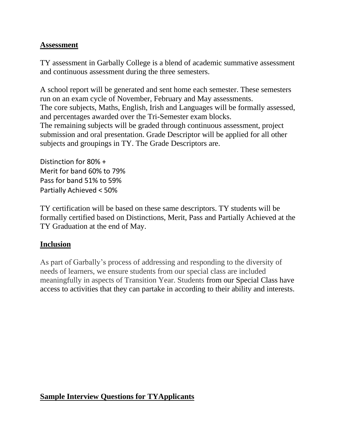#### **Assessment**

TY assessment in Garbally College is a blend of academic summative assessment and continuous assessment during the three semesters.

A school report will be generated and sent home each semester. These semesters run on an exam cycle of November, February and May assessments. The core subjects, Maths, English, Irish and Languages will be formally assessed, and percentages awarded over the Tri-Semester exam blocks. The remaining subjects will be graded through continuous assessment, project submission and oral presentation. Grade Descriptor will be applied for all other subjects and groupings in TY. The Grade Descriptors are.

Distinction for 80% + Merit for band 60% to 79% Pass for band 51% to 59% Partially Achieved < 50%

TY certification will be based on these same descriptors. TY students will be formally certified based on Distinctions, Merit, Pass and Partially Achieved at the TY Graduation at the end of May.

# **Inclusion**

As part of Garbally's process of addressing and responding to the diversity of needs of learners, we ensure students from our special class are included meaningfully in aspects of Transition Year. Students from our Special Class have access to activities that they can partake in according to their ability and interests.

# **Sample Interview Questions for TYApplicants**